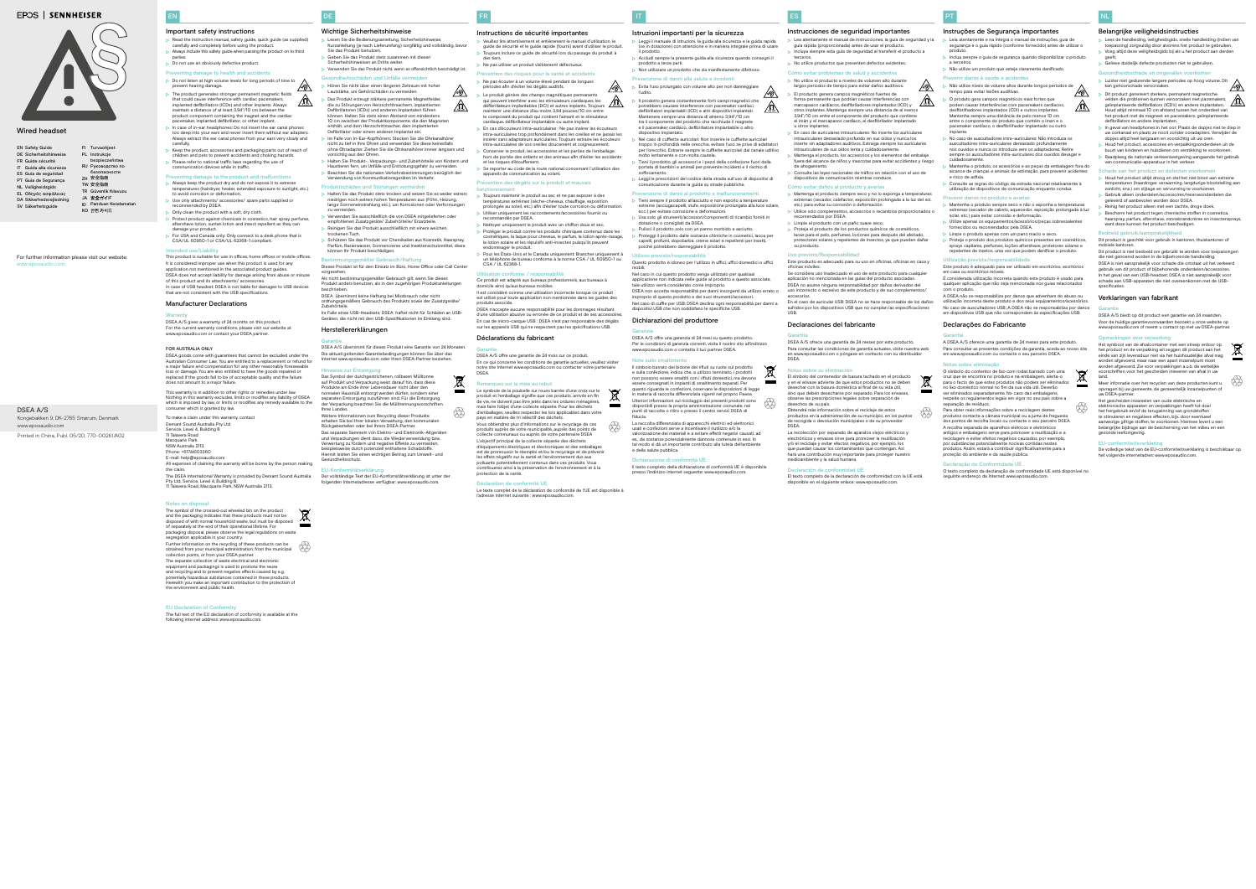DE

- Lesen Sie die Bedienungsanleitung, Sicherheitshin Kurzanleitung (je nach Lieferumfang) sorgfältig und vollständig, bevor Sie das Produkt benutzen.
- Geben Sie das Produkt stets zusammen mit diesen
- Sicherheitshinweisen an Dritte weiter.
- Verwenden Sie das Produkt nicht, wenn es offensichtlich beschädigt ist. ndheitsschäden und Unfälle ve

# Wichtige Sicherheitshinweise

Hören Sie nicht über einen längeren Zeitraum mit hoher

- Lautstärke, um Gehörschäden zu ver Das Produkt erzeugt stärkere permanente Magnetfelder, die zu Störungen von Herzschrittmachern, implantierten Defibrillatoren (ICDs) und anderen Implantaten führen können. Halten Sie stets einen Abstand von mindestens 10 cm zwischen der Produktkomponente, die den Magneten enthält, und dem Herzschrittmacher, dem implantierten Defibrillator oder einem anderen Implantat ein.
- Im Falle von In-Ear-Kopfhörern: Stecken Sie die Ohrkanalhörer nicht zu tief in Ihre Ohren und verwenden Sie diese keinesfalls
- ohne Ohradapter. Ziehen Sie die Ohrkanalhörer immer langsam und vorsichtig aus den Ohren. Halten Sie Produkt-, Verpackungs- und Zubehörteile von Kindern und
- Haustieren fern, um Unfälle und Erstickungsgefahr zu vermeiden. Beachten Sie die nationalen Verkehrsbestimmungen bezüglich der Verwendung von Kommunikationsgeräten im Verkehr.

#### Produktschäden und Störungen

# Parfüm, Rasierwasser, Sonnencreme und Insektenschutzmittel, diese können Ihr Produkt beschädigen. **Bestimmung**<br>Bestimmungsgemäßer Gebrauch/Haftung

- Halten Sie das Produkt stets trocken und setzen Sie es weder extrem niedrigen noch extrem hohen Temperaturen aus (Föhn, Heizung, lange Sonneneinstrahlung etc.), um Korrosionen oder Verformungen zu vermeiden.
- Verwenden Sie ausschließlich die von DSEA mitgelieferten oder empfohlenen Zusatzgeräte/ Zubehörteile/ Ersatzteile. Reinigen Sie das Produkt ausschließlich mit einem weichen,
- trockenen Tuch. Schützen Sie das Produkt vor Chemikalien aus Kosmetik, Haarspray,

Der vollständige Text der EU-Konformitätserklärung ist unter der folgenden Internetadresse verfügbar: www.eposauc



- EN Safety Guide DE Sicherheitshinweise Guide sécurité FR Guida alla sicurezza IT ES Guía de seguridad Guia de Segurança PT NL Veiligheidsgids
- Οδηγός ασφάλειας EL DA Sikkerhedsvejledning
- SV Säkerhetsguide
- For further information please visit our website: www.eposaudio.com

FI Turvaohjeet PL Instrukcje RU Руководство по ZH 安全指南 TW 安全指南 TR Güvenlik Kılavuzu JA 安全ガイド ID Panduan Keselamatan KO 안전 가이드

> Dieses Produkt ist für den Einsatz im Büro, Home Office oder Call Center vorgesehen.

- Instructions de sécurité importantes
- Veuillez lire attentivement et entièrement le manuel d'utilisation, le guide de sécurité et le guide rapide (fourni) avant d'utiliser le produit.
- Toujours inclure ce guide de sécurité lors du passage du produit à des tiers. > Ne pas utiliser un produit visiblement défectueux
- Prévention des risques pour la santé et accidents
- Ne pas écouter à un volume élevé pendant de longues périodes afin d'éviter les dégâts auditifs.
- 
- $\triangleright$  Le produit génère des champs magnétiques permanents<br>qui peuvent interférer avec les stimulateurs cardiaques, les<br>défibrillateurs implantables (DCI) et autres implants. Toujours<br>maintenir une distance d'au moins 3,9 le composant du produit qui contient l'aimant et le stimulateur cardiaque, défibrillateur implantable ou autre implant. En cas d'écouteurs intra-auriculaires : Ne pas insérer les écouteurs
- intra-auriculaires trop profondément dans les oreilles et ne jamais les insérer sans adaptateurs auriculaires. Toujours extraire les écouteurs intra-auriculaires de vos oreilles doucement et soigneusement. Conserver le produit, les accessoires et les parties de l'emballage
- hors de portée des enfants et des animaux afin d'éviter les accidents et les risques d'étouffement. Se reporter au code de la route national concernant l'utilisation des
- appareils de communication au volant. Prévention des dégâts sur le produit et mauvai

Als nicht bestimmungsgemäßer Gebrauch gilt, wenn Sie dieses Produkt anders benutzen, als in den zugehörigen Produktanleitungen beschrieben.

DSEA übernimmt keine Haftung bei Missbrauch oder nicht ordnungsgemäßem Gebrauch des Produkts sowie der Zusatzgeräte/ Zubehörteile.

Im Falle eines USB-Headsets: DSEA haftet nicht für Schäden an USB-Geräten, die nicht mit den USB-Spezifikationen im Einklang sind.

# Herstellererklärungen

### Garantie

DSEA A/S übernimmt für dieses Produkt eine Garantie von 24 Monaten. Die aktuell geltenden Garantiebedingungen können Sie über das Internet www.eposaudio.com oder Ihren DSEA-Partner beziehen.

# Hinweise zur Entsorgung



auf Produkt und Verpackung weist darauf hin, dass diese Produkte am Ende ihrer Lebensdauer nicht über den normalen Hausmüll entsorgt werden dürfen, sondern einer separaten Entsorgung zuzuführen sind. Für die Entsorgung der Verpackung beachten Sie die Mülltrennungsvorschrifte Ihres Landes.

Weitere Informationen zum Recycling dieser Produkte erhalten Sie bei Ihrer lokalen Verwaltung, den kommunale Rückgabestellen oder bei Ihrem DSEA-Partner. Das separate Sammeln von Elektro- und Elektronik-Altgeräten

Verwertung zu fördern und negative Effekte zu vermeiden, beispielsweise durch potenziell enthaltene Schadstoffe. Hiermit leisten Sie einen wichtigen Beitrag zum Umwelt- und Gesundheitsschutz.



#### EU-Konformitätserklärung

bezpieczeństwa безопасности

> Le texte complet de la déclaration de conformité de l'UE est disponible à l'adresse internet suivante : www.eposaudio.com.

ĞÐ

# **EPOS | SENNHEISER**



FR

⚠

 $\mathbb{A}$ 

Il simbolo barrato del bidone dei rifiuti su ruote sul prodotto e sulla confezione, indica che, a utilizzo terminato, i prodotti non possono essere smaltiti con i rifiuti domestici, ma devono essere consegnati in impianti di smaltimento separati. Per quanto riguarda le confezioni, osservare le disposizioni di legge in materia di raccolta differenziata vigenti nel proprio Paese. Ulteriori informazioni sul riciclaggio dei presenti prodotti sono disponibili presso la propria amministrazione comunale, nei punti di raccolta o ritiro o presso il centro servizi DSEA di fiducia. **tip** 



# fonctionnement

- Toujours maintenir le produit au sec et ne pas exposer à des températures extrêmes (sèche-cheveux, chauffage, exposition prolongée au soleil, etc.) afin d'éviter toute corrosion ou déformation.
- Utiliser uniquement les raccordements/accessoires fournis ou recommandés par DSEA.
- Nettoyer uniquement le produit avec un chiffon doux et sec. Protéger le produit contre les produits chimiques contenus dans les ques, la laque pour cheveux, le parfum, la lotion après-rasage, la lotion solaire et les répulsifs anti-insectes puisqu'ils peuvent
- endommager le produit. Pour les États-Unis et le Canada uniquement: Brancher uniquement à un téléphone de bureau conforme à la norme CSA / UL 60950-1 ou CSA / UL 62368-1.

Il testo completo della dichiarazione di conformità UE è disponibile presso l'indirizzo internet seguente: www.eposau

# Utilisation conforme / responsabilité

Ce produit est adapté aux bureaux professionnels, aux bureaux à .<br>nicile ainsi qu'aux bureaux mobiles Il est considéré comme une utilisation incorrecte lorsque ce produit est utilisé pour toute application non mentionnée dans les guides des

produits associés. DSEA n'accepte aucune responsabilité pour les dommages résultant d'une utilisation abusive ou erronée de ce produit et de ses accessoire En cas de micro-casque USB : DSEA n'est pas responsable des dégâts

- Lea atentamente el manual de instrucciones, la guía de seguridad y la guía rápida (proporcionada) antes de usar el producto.
- Incluya siempre esta guía de seguridad al transferir el producto a terceros.
- $\triangleright$  No utilice productos que presenten defectos evidentes.
- Cómo evitar problemas de salud y accider  $\triangleright$  No utilice el producto a niveles de volumen alto durante
- largos periodos de tiempo para evitar daños auditivos.
- El producto genera campos magnéticos fuertes de forma permanente que podrían causar interferencias con marcapasos cardíacos, desfibriladores implantados (ICD) y otros implantes. Mantenga siempre una distancia de al menos
- 3,94"/10 cm entre el componente del producto que contiene el imán y el marcapasos cardíaco, el desfibrilador implantado u otros implantes.  $\triangleright$  En caso de auriculares intrauriculares: No inserte los auriculares intrauriculares demasiado profundo en sus oídos y nunca los inserte sin adaptadores auditivos. Extraiga siempre los auriculares
- ntrauriculares de sus oídos lenta y cuidadosa Mantenga el producto, los accesorios y los elementos del embalaje fuera del alcance de niños y mascotas para evitar accidentes y riesgo
- de ahogamiento. Consulte las leyes nacionales de tráfico en relación con el uso de dispositivos de comunicación mientras conduce.

# Cómo evitar daños al producto y ave

sur les appareils USB qui ne respectent pas les spécifications USB. Déclarations du fabricant

Garantie DSEA A/S offre une garantie de 24 mois sur ce produit. En ce qui concerne les conditions de garantie actuelles, veuillez visiter notre site Internet www.eposaudio.com ou contacter votre partenaire DSEA.

# Remarques sur la mise au rebut

Le symbole de la poubelle sur roues barrée d'une croix sur le produit et l'emballage signifie que ces produits, arrivés en fin de vie, ne doivent pas être jetés dans les ordures ménagères, mais faire l'objet d'une collecte séparée. Pour les déchets d'emballages, veuillez respecter les lois applicables dans votre pays en matière de tri sélectif des déchets.

Obtendrá más información sobre el reciclaje de estos productos en la administración de su municipio, en los puntos de recogida o devolución municipales o de su proveedor DSEA. tik<br>Ge

Vous obtiendrez plus d'informations sur le recyclage de ces produits auprès de votre municipalité, auprès des poi collecte communaux ou auprès de votre partenaire DSEA L'objectif principal de la collecte séparée des déchets d'équipements électriques et électroniques et des emballages est de promouvoir le réemploi et/ou le recyclage et de préveni les effets négatifs sur la santé et l'environnement dus aux polluants potentiellement contenus dans ces produits. Vo ntiellement contenus dans ces produits. Vous contribuerez ainsi à la préservation de l'environnement et à la protection de la santé.

#### Déclaration de conformité UE

IT

# Istruzioni importanti per la sicurezza

# Leggi il manuale di istruzioni, la guida alla sicurezza e la guida rapida (se in dotazione) con attenzione e in maniera integrale prima di usare

il prodotto.

l'udito.

 $\sqrt{8}$ 

- Não utilize níveis de volume altos durante longos períodos de ⚠ tempo para evitar lesões auditivas.
	- O produto gera campos magnéticos mais fortes que podem causar interferências com pacemakers cardíacos, desfibrilhadores implantados (CDI) e outros implantes. Mantenha sempre uma distância de pelo menos 10 cm entre o componente do produto que contém o íman e o pacemaker cardíaco, o desfibrilhador implantado ou outro implante.
	- No caso de auscultadores intra-auriculares: Não introduza os auscultadores intra-auriculares demasiado profundamente nos ouvidos e nunca os introduza sem os adaptadores. Retire sempre os auscultadores intra-auriculares dos ouvidos devagar e
	- cuidadosamente. Mantenha o produto, os acessórios e as peças da embalagem fora do alcance de crianças e animais de estimação, para prevenir acidentes
	- e risco de asfixia. Consulte as regras do código da estrada nacional relativamente à utilização de dispositivos de comunicação enquanto conduz.
	- Prevenir danos no produto e avarias
	- Mantenha o produto sempre seco e não o exponha a temperaturas extremas (secador de cabelo, aquecedor, exposição prolongada à luz solar, etc.) para evitar corrosão e deformação.
	- Utilize apenas os equipamentos/acessórios/peças sob fornecidos ou recomendados pela DSEA.
	- $\triangleright$  Limpe o produto apenas com um pano macio e seco.
	- Proteja o produto dos produtos químicos presentes em cosméticos, sprays capilares, perfumes, loções aftershave, protetores solares e repelentes de insetos, uma vez que podem danificar o produto.
- Accludi sempre la presente guida alla sicurezza quando consegni il prodotto a terze parti. Non utilizzare un prodotto che sia manifestamente difettoso.
- Prevenzione di danni alla salute e incid
- $\triangleright$  Evita l'uso prolungato con volume alto per non danneggiare
- Il prodotto genera costantemente forti campi magnetici che potrebbero causare interferenze con pacemaker cardiaci, defibrillatori impiantabili (ICD) e altri dispositivi impiantati. Mantenere sempre una distanza di almeno 3,94"/10 cm tra il componente del prodotto che racchiude il magnete e il pacemaker cardiaco, defibrillatore impiantabile o altro dispositivo impiantato.
- Nel caso di cuffiette auricolari: Non inserire le cuffiette auricolari troppo in profondità nelle orecchie, evitare l'uso se prive di adattatori per l'orecchio. Estrarre sempre le cuffiette auricolari dal canale uditivo molto lentamente e con molta cautela.
- Tieni il prodotto, gli accessori e i pezzi della confezione fuori della portata di bambini e animali per prevenire incidenti e il rischio di

A DSEA não se responsabiliza por danos que advenham do abuso ou utilização incorreta deste produto e dos seus equipamentos/acessórios. No caso de auscultadores USB: A DSEA não se responsabiliza por danos ivos USB que não correspondem às especificações USB.

O símbolo do contentor de lixo com rodas barrado com uma cruz que se encontra no produto e na embalagem, alerta-o para o facto de que estes produtos não podem ser eliminados no lixo doméstico normal no fim da sua vida útil. Deverão ser eliminados separadamente. No caso das embal respeite os regulamentos legais em vigor no seu país sobre a separação de resíduos. t.

soffocamento.

#### Leggi le prescrizioni del codice della strada sull'uso di dispositivi di comunicazione durante la guida su strade pubbliche.

O texto completo da declaração de conformidade UE está disponível no seguinte endereço da Internet: www.eposaudio.com

- Prevenzione di danni al prodotto e malfunzionamenti Tieni sempre il prodotto all'asciutto e non esporlo a temperature
- estreme (asciugacapelli, stufe, esposizione prolungata alla luce solare, ecc.) per evitare corrosione e deformazioni. Usa solo gli strumenti/accessori/componenti di ricambio forniti in
- dotazione o consigliati da DSEA. Pulisci il prodotto solo con un panno morbido e asciutto.
- Proteggi il prodotto dalle sostanze chimiche in cosmetici, lacca per capelli, profumi, dopobarba, creme solari e repellenti per insetti, poiché potrebbero danneggiare il prodotto.

#### Utilizzo previsto/responsabilità Questo prodotto è idoneo per l'utilizzo in uffici, uffici domestici o uffici

mobili.

- Nel caso in cui questo prodotto venga utilizzato per qualsiasi
- applicazione non indicata nelle guide al prodotto a questo associate, tale utilizzo verrà considerato come improprio. DSEA non accetta responsabilità per danni insorgenti da utilizzo errato o
- improprio di questo prodotto e dei suoi strumenti/accessori. Nel caso di cuffie per USB: DSEA declina ogni responsabilità per danni a dispositivi USB che non soddisfano le specifiche USB.

# Dichiarazioni del produttore

Garanzia



DSEA A/S offre una garanzia di 24 mesi su questo prodotto. Per le condizioni di garanzia correnti, visita il nostro sito all'indirizzo www.eposaudio.com o contatta il tuo partner DSEA.

# Note sullo smaltimento

parties.  $\triangleright$  Do not use an obviously defective product.

#### La raccolta differenziata di apparecchi elettrici ed elettronici usati e confezioni serve a incentivare il riutilizzo e/o la zazione dei materiali e a evitare effetti negativi causati, ad es., da sostanze potenzialmente dannose contenute in essi. In tal modo si dà un importante contributo alla tutela dell'ambiente

e della salute pubblica. Dichiarazione di conformità UE

Kongebakken 9, DK-2765 Smørum, Denmark www.eposaudio.com DSEA A/S

Printed in China, Publ. 05/20, 770-00261/A02

# Wired headset

ES

# Instrucciones de seguridad importantes

This product is suitable for use in offices, home offices or mobile offices. It is considered improper use when this product is used for any application not mentioned in the associated product guides. DSEA does not accept liability for damage arising from abuse or misuse of this product and its attachments/ accessories. In case of USB headset: DSEA is not liable for damages to USB devices

To make a claim under this warranty, contact Demant Sound Australia Pty Ltd Service, Level 4, Building B 11 Talavera Road

### Macquarie Park NSW Australia 2113.

- Mantenga el producto siempre seco y no lo exponga a temperaturas extremas (secador, calefactor, exposición prolongada a la luz del sol, etc.) para evitar su corrosión o deformación.
- Utilice solo complementos, accesorios o recambios proporcionados o mendados por DSEA.
- **Limpie el producto con un paño suave seco.**
- **Proteja el producto de los productos químicos de cosméticos.** lacas para el pelo, perfumes, lociones para después del afeitado, protectores solares y repelentes de insectos, ya que pueden dañar su producto.

- Uso previsto/Responsabilidad Este producto es adecuado para su uso en oficinas, oficinas en casa y oficinas móviles.
- Se considera uso inadecuado el uso de este producto para cualquier aplicación no mencionada en las guías del producto asociadas. DSEA no asume ninguna responsabilidad por daños derivados del uso incorrecto o excesivo de este producto y de sus complementos.
- accesorios. En el caso de auricular USB: DSEA no se hace responsable de los daños sufridos por los dispositivos USB que no cumplan las especificaciones USB.

# Declaraciones del fabricante

Garantía

DSEA A/S ofrece una garantía de 24 meses por este producto. Para consultar las condiciones de garantía actuales, visite nuestra web en www.eposaudio.com o póngase en contacto con su distribuidor DSEA.

### Notas sobre su eliminación

El símbolo del contenedor de basura tachado en el producto y en el envase advierte de que estos productos no se deben desechar con la basura doméstica al final de su vida útil, sino que deben desecharse por separado. Para los envases, observe las prescripciones legales sobre separación de desechos de su país.

La recolección por separado de aparatos viejos eléctricos y entrónicos y envases sirve para promover la reutilizació y/o el reciclaje y evitar efectos negativos, por ejemplo, los que puedan causar los contaminantes que contengan. Así hará una contribución muy importante para proteger nuestro medioambiente y la salud humana.

# Declaración de conformidad UE

El texto completo de la declaración de conformidad con la UE está disponible en el siguiente enlace: www.eposaudio.com.

PT

 $\sqrt{V}$ 

# Instruções de Segurança Importantes

- Leia atentamente e na íntegra o manual de instruções, guia de segurança e o guia rápido (conforme fornecido) antes de utilizar o
- produto. Inclua sempre o guia de segurança quando disponibilizar o produto
- a terceiros.
- Não utilize um produto que esteja claramente danificado.
- Prevenir danos à saúde e acidentes

### Utilização prevista/responsabilidade

Este produto é adequado para ser utilizado em escritórios, escritórios em casa ou escritórios móveis. É considerada utilização incorreta quando este produto é usado para qualquer aplicação que não seja mencionada nos guias relacionados com o produto.

# Declarações do Fabricante

Garantia

 $\cancel{\boxtimes}$ 

A DSEA A/S oferece uma garantia de 24 meses para este produto. Para consultar as presentes condições da garantia, aceda ao nosso site em www.eposaudio.com ou contacte o seu parceiro DSEA.

### Notas sobre eliminação

Para obter mais informações sobre a reciclagem destes produtos contacte a câmara municipal ou a junta de freguesia dos pontos de recolha locais ou contacte o seu parceiro DSEA. A recolha separada de aparelhos elétricos e eletrónicos

antigos e embalagens serve para promover a reutilização e a agem e evitar efeitos negativos causados, por exemplo por substâncias potencialmente nocivas contidas nestes produtos. Assim, estará a contribuir significativamente para a proteção do ambiente e da saúde pública.

#### Declaração de Conformidade UE



∕∾⊗∖

- Belangrijke veiligheidsinstructies
- $\triangleright$  Lees de handleiding, veiligheidsgids, snelle handleiding (indien van toepassing) zorgvuldig door alvorens het product te gebruiken.
- Voeg altijd deze veiligheidsgids bij als u het product aan derden geeft.
- Gelieve duidelijk defecte producten niet te gebruiken.
- Gezondheidsschade en ongevallen voor
- Luister niet gedurende langere periodes op hoog volume. Dit kan gehoorschade veroorzaken.
- ⚠ Dit product genereert sterkere, permanent magnetische velden die problemen kunnen veroorzaken met pacemakers, geïmplanteerde defibrillators (ICD's) en andere implantaten. Houd altijd minimaal 10 cm afstand tussen het onderdeel van het product met de magneet en pacemakers, geïmplanteerde defibrillators en andere implantaten.
- $\triangleright$  In geval van headphones in het oor: Plaats de dopjes niet te diep in uw oorkanaal en plaats ze nooit zonder ooradapters. Verwijder de dopjes altijd heel langzaam en voorzichtig uit uw oren.
- Houd het product, accessoires en verpakkingsonderdelen uit de buurt van kinderen en huisdieren om verstikking te voorkomen. Raadpleeg de nationale verkeerswetgeving aangaande het gebruik
- van communicatie-apparatuur in het verkeer. chade aan het product en defecten voorkom
- Houd het product altijd droog en stel het niet bloot aan extreme temperaturen (haardroger, verwarming, langdurige blootstelling aan zonlicht, enz.) om slijtage en vervorming te voorkomen.
- Gebruik alleen onderdelen/accessoires/reserveonderdelen die geleverd of aanbevolen worden door DSEA.
- Reinig het product alleen met een zachte, droge doek. Bescherm het product tegen chemische stoffen in cosmetica, arspray, parfum, aftershave, zonnebrandcrème en insectensprays, want deze kunnen het product beschadigen.

#### Bedoeld gebruik/aansprakelijkheid

Dit product is geschikt voor gebruik in kantoren, thuiskantoren of mobiele kantoren.

Dit product is niet bedoeld om gebruikt te worden voor toepassingen die niet genoemd worden in de bijbehorende handleiding. DSEA is niet aansprakelijk voor schade die ontstaat uit het verkeerd gebruik van dit product of bijbehorende onderdelen/accessoires. In het geval van een USB-headset: DSEA is niet aansprakelijk voor schade aan USB-apparaten die niet overeenkomen met de USBspecificaties.

# Verklaringen van fabrikant

Garantie DSEA A/S biedt op dit product een garantie van 24 maanden.

Voor de huidige garantievoorwaarden bezoekt u onze website op www.eposaudio.com of neemt u contact op met uw DSEA-partner.

Opmerkingen over verwerking

Het symbool van de afvalcontainer met een streep erdoor op het product en de verpakking wil zeggen dit product aan het einde van zijn levensduur niet via het huishoudelijke afval mag worden afgevoerd, maar naar een apart inzamelpunt moet worden afgevoerd. Zie voor verpakkingen a.u.b. de wettelijke voorschriften voor het gescheiden inleveren van afval in uw

land.

Meer informatie over het recyclen van deze producten kunt u opvragen bij uw gemeente, de gemeentelijk inzamelpunten of uw DSEA-partner. Het gescheiden inzamelen van oude elektrische en elektronische apparaten en verpakkingen heeft tot doel het hergebruik en/of de terugwinning van grondstoffen te stimuleren en negatieve effecten, bijv. door eventueel aanwezige giftige stoffen, te voorkomen. Hiermee levert u een belangrijke bijdrage aan de bescherming van het milieu en een

gezonde leefomgeving.

EU-conformiteitsverklaring

De volledige tekst van de EU-conformiteitsverklaring is beschikbaar op

 $\begin{picture}(5,5) \put(0,0) {\put(0,0){\line(1,0){0}} \put(1,0){\line(1,0){0}} \put(1,0){\line(1,0){0}} \put(1,0){\line(1,0){0}} \put(1,0){\line(1,0){0}} \put(1,0){\line(1,0){0}} \put(1,0){\line(1,0){0}} \put(1,0){\line(1,0){0}} \put(1,0){\line(1,0){0}} \put(1,0){\line(1,0){0}} \put(1,0){\line(1,0){0}} \put(1,0){\line(1,0){0}} \put(1,0){\line(1,$ 

het volgende internetadres: www.eposaudio.com.

EN

# Important safety instructions

 Read the instruction manual, safety guide, quick guide (as supplied) carefully and completely before using the product. Always include this safety guide when passing the product on to third

- Preventing damage to health and accidents
- Do not listen at high volume levels for long periods of time to  $\bigotimes$ prevent hearing damage. The product generates stronger permanent magnetic fields
- that could cause interference with cardiac pacemakers, implanted defibrillators (ICDs) and other implants. Always maintain a distance of at least 3.94"/10 cm between the product component containing the magnet and the cardiac pacemaker, implanted defibrillator, or other implant.
- In case of in-ear headphones: Do not insert the ear canal phones too deep into your ears and never insert them without ear adapters. Always extract the ear canal phones from your ears very slowly and carefully.
- Keep the product, accessories and packaging parts out of reach of children and pets to prevent accidents and choking hazards. Please refer to national traffic laws regarding the use of
- communication devices while in traffi Inting damage to the product and malfunction
- Always keep the product dry and do not expose it to extren temperatures (hairdryer, heater, extended exposure to sunlight, etc.) to avoid corrosion or deformation.
- Use only attachments/ accessories/ spare parts supplied or mended by DSEA.
- Only clean the product with a soft, dry cloth.
- Protect product against chemicals in cosmetics, hair spray, perfume, aftershave lotion, suntan lotion and insect repellent as they can damage your product. For USA and Canada only: Only connect to a desk phone that is
- CSA/UL 60950-1 or CSA/UL 62368-1 compliant Intended use/Liability

# Manufacturer Declarations

that are not consistent with the USB specification

### Warranty

DSEA A/S gives a warranty of 24 months on this product. For the current warranty conditions, please visit our website at www.eposaudio.com or contact your DSEA partner.

#### FOR AUSTRALIA ONLY

DSEA goods come with guarantees that cannot be excluded under the Australian Consumer Law. You are entitled to a replacement or refund for a major failure and compensation for any other reasonably foreseeabl loss or damage. You are also entitled to have the goods repaired or replaced if the goods fail to be of acceptable quality and the failure does not amount to a major failure.

This warranty is in addition to other rights or remedies under law. Nothing in this warranty excludes, limits or modifies any liability of DSEA which is imposed by law, or limits or modifies any remedy available to the consumer which is granted by law.

Phone: +61744103360 E-mail: help@eposaudio.com All expenses of claiming the warranty will be borne by the person making the claim. The DSEA International Warranty is provided by Demant Sound Australia Pty Ltd, Service, Level 4, Building B,

11 Talavera Road, Macquarie Park, NSW Australia 2113.

#### Notes on disposal

The symbol of the crossed-out wheeled bin on the product ╰═ and the packaging indicates that these products must not be disposed of with normal household waste, but must be disposed of separately at the end of their operational lifetime. For packaging disposal, please observe the legal regulations on waste segregation applicable in your country.<br>Further information on the recycling of these products can be Further information on the recycling of these products can be<br>obtained from your municipal administration, from the municipal  $\bigoplus_{i=1}^N$ <br>collection points, or from your DSEA partner. ection points, or from your DSEA partner. The separate collection of waste electrical and electron equipment and packagings is used to promote the reuse and recycling and to prevent negative effects caused by e.g. potentially hazardous substances contained in these products. Herewith you make an important contribution to the protection of

the environment and public health.

#### EU Declaration of Conformity

The full text of the EU declaration of conformity is available at the following internet address: www.eposaudio.com.